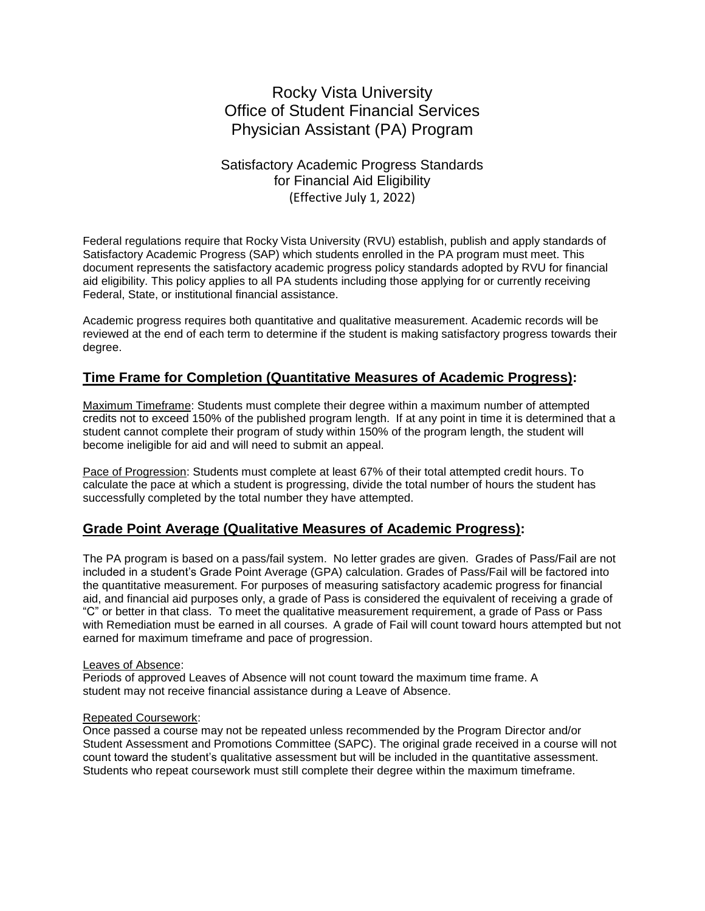# Rocky Vista University Office of Student Financial Services Physician Assistant (PA) Program

# Satisfactory Academic Progress Standards for Financial Aid Eligibility (Effective July 1, 2022)

Federal regulations require that Rocky Vista University (RVU) establish, publish and apply standards of Satisfactory Academic Progress (SAP) which students enrolled in the PA program must meet. This document represents the satisfactory academic progress policy standards adopted by RVU for financial aid eligibility. This policy applies to all PA students including those applying for or currently receiving Federal, State, or institutional financial assistance.

Academic progress requires both quantitative and qualitative measurement. Academic records will be reviewed at the end of each term to determine if the student is making satisfactory progress towards their degree.

# **Time Frame for Completion (Quantitative Measures of Academic Progress):**

Maximum Timeframe: Students must complete their degree within a maximum number of attempted credits not to exceed 150% of the published program length. If at any point in time it is determined that a student cannot complete their program of study within 150% of the program length, the student will become ineligible for aid and will need to submit an appeal.

Pace of Progression: Students must complete at least 67% of their total attempted credit hours. To calculate the pace at which a student is progressing, divide the total number of hours the student has successfully completed by the total number they have attempted.

### **Grade Point Average (Qualitative Measures of Academic Progress):**

The PA program is based on a pass/fail system. No letter grades are given. Grades of Pass/Fail are not included in a student's Grade Point Average (GPA) calculation. Grades of Pass/Fail will be factored into the quantitative measurement. For purposes of measuring satisfactory academic progress for financial aid, and financial aid purposes only, a grade of Pass is considered the equivalent of receiving a grade of "C" or better in that class. To meet the qualitative measurement requirement, a grade of Pass or Pass with Remediation must be earned in all courses. A grade of Fail will count toward hours attempted but not earned for maximum timeframe and pace of progression.

### Leaves of Absence:

Periods of approved Leaves of Absence will not count toward the maximum time frame. A student may not receive financial assistance during a Leave of Absence.

### Repeated Coursework:

Once passed a course may not be repeated unless recommended by the Program Director and/or Student Assessment and Promotions Committee (SAPC). The original grade received in a course will not count toward the student's qualitative assessment but will be included in the quantitative assessment. Students who repeat coursework must still complete their degree within the maximum timeframe.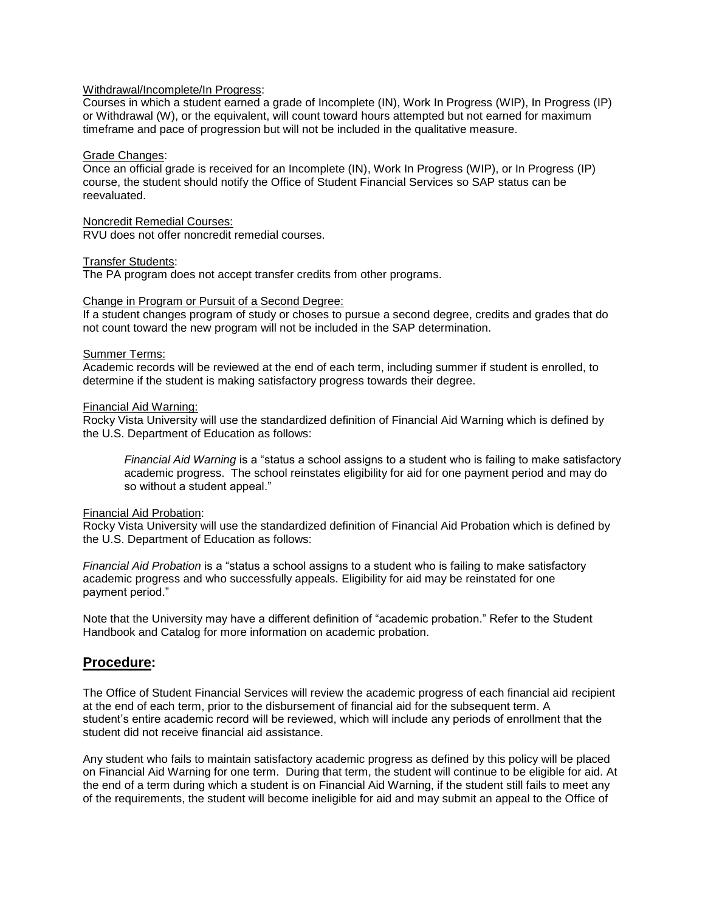#### Withdrawal/Incomplete/In Progress:

Courses in which a student earned a grade of Incomplete (IN), Work In Progress (WIP), In Progress (IP) or Withdrawal (W), or the equivalent, will count toward hours attempted but not earned for maximum timeframe and pace of progression but will not be included in the qualitative measure.

#### Grade Changes:

Once an official grade is received for an Incomplete (IN), Work In Progress (WIP), or In Progress (IP) course, the student should notify the Office of Student Financial Services so SAP status can be reevaluated.

#### Noncredit Remedial Courses:

RVU does not offer noncredit remedial courses.

#### Transfer Students:

The PA program does not accept transfer credits from other programs.

#### Change in Program or Pursuit of a Second Degree:

If a student changes program of study or choses to pursue a second degree, credits and grades that do not count toward the new program will not be included in the SAP determination.

#### Summer Terms:

Academic records will be reviewed at the end of each term, including summer if student is enrolled, to determine if the student is making satisfactory progress towards their degree.

#### Financial Aid Warning:

Rocky Vista University will use the standardized definition of Financial Aid Warning which is defined by the U.S. Department of Education as follows:

*Financial Aid Warning* is a "status a school assigns to a student who is failing to make satisfactory academic progress. The school reinstates eligibility for aid for one payment period and may do so without a student appeal."

### Financial Aid Probation:

Rocky Vista University will use the standardized definition of Financial Aid Probation which is defined by the U.S. Department of Education as follows:

*Financial Aid Probation* is a "status a school assigns to a student who is failing to make satisfactory academic progress and who successfully appeals. Eligibility for aid may be reinstated for one payment period."

Note that the University may have a different definition of "academic probation." Refer to the Student Handbook and Catalog for more information on academic probation.

### **Procedure:**

The Office of Student Financial Services will review the academic progress of each financial aid recipient at the end of each term, prior to the disbursement of financial aid for the subsequent term. A student's entire academic record will be reviewed, which will include any periods of enrollment that the student did not receive financial aid assistance.

Any student who fails to maintain satisfactory academic progress as defined by this policy will be placed on Financial Aid Warning for one term. During that term, the student will continue to be eligible for aid. At the end of a term during which a student is on Financial Aid Warning, if the student still fails to meet any of the requirements, the student will become ineligible for aid and may submit an appeal to the Office of